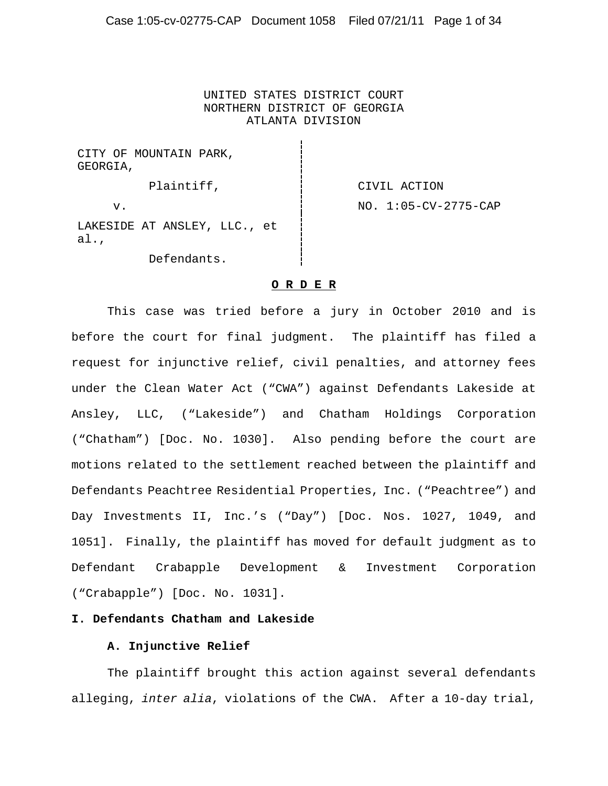## UNITED STATES DISTRICT COURT NORTHERN DISTRICT OF GEORGIA ATLANTA DIVISION

CITY OF MOUNTAIN PARK, GEORGIA,

Plaintiff,  $\qquad \qquad$  | CIVIL ACTION v. 1:05-CV-2775-CAP

LAKESIDE AT ANSLEY, LLC., et al.,

Defendants.

## **O R D E R**

This case was tried before a jury in October 2010 and is before the court for final judgment. The plaintiff has filed a request for injunctive relief, civil penalties, and attorney fees under the Clean Water Act ("CWA") against Defendants Lakeside at Ansley, LLC, ("Lakeside") and Chatham Holdings Corporation ("Chatham") [Doc. No. 1030]. Also pending before the court are motions related to the settlement reached between the plaintiff and Defendants Peachtree Residential Properties, Inc. ("Peachtree") and Day Investments II, Inc.'s ("Day") [Doc. Nos. 1027, 1049, and 1051]. Finally, the plaintiff has moved for default judgment as to Defendant Crabapple Development & Investment Corporation ("Crabapple") [Doc. No. 1031].

## **I. Defendants Chatham and Lakeside**

## **A. Injunctive Relief**

The plaintiff brought this action against several defendants alleging, *inter alia*, violations of the CWA. After a 10-day trial,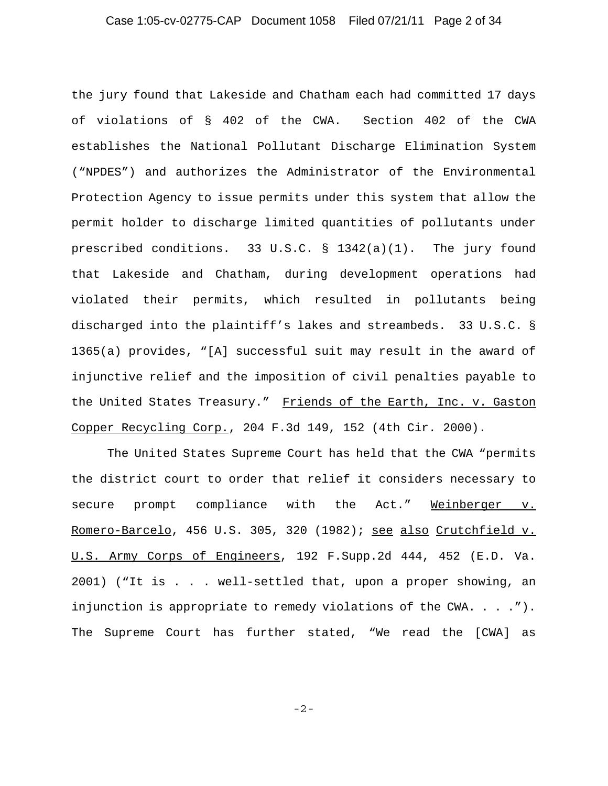# Case 1:05-cv-02775-CAP Document 1058 Filed 07/21/11 Page 2 of 34

the jury found that Lakeside and Chatham each had committed 17 days of violations of § 402 of the CWA. Section 402 of the CWA establishes the National Pollutant Discharge Elimination System ("NPDES") and authorizes the Administrator of the Environmental Protection Agency to issue permits under this system that allow the permit holder to discharge limited quantities of pollutants under prescribed conditions. 33 U.S.C. § 1342(a)(1). The jury found that Lakeside and Chatham, during development operations had violated their permits, which resulted in pollutants being discharged into the plaintiff's lakes and streambeds. 33 U.S.C. § 1365(a) provides, "[A] successful suit may result in the award of injunctive relief and the imposition of civil penalties payable to the United States Treasury." Friends of the Earth, Inc. v. Gaston Copper Recycling Corp., 204 F.3d 149, 152 (4th Cir. 2000).

The United States Supreme Court has held that the CWA "permits the district court to order that relief it considers necessary to secure prompt compliance with the Act." Weinberger v. Romero-Barcelo, 456 U.S. 305, 320 (1982); see also Crutchfield v. U.S. Army Corps of Engineers, 192 F.Supp.2d 444, 452 (E.D. Va. 2001) ("It is . . . well-settled that, upon a proper showing, an injunction is appropriate to remedy violations of the CWA. . . ."). The Supreme Court has further stated, "We read the [CWA] as

-2-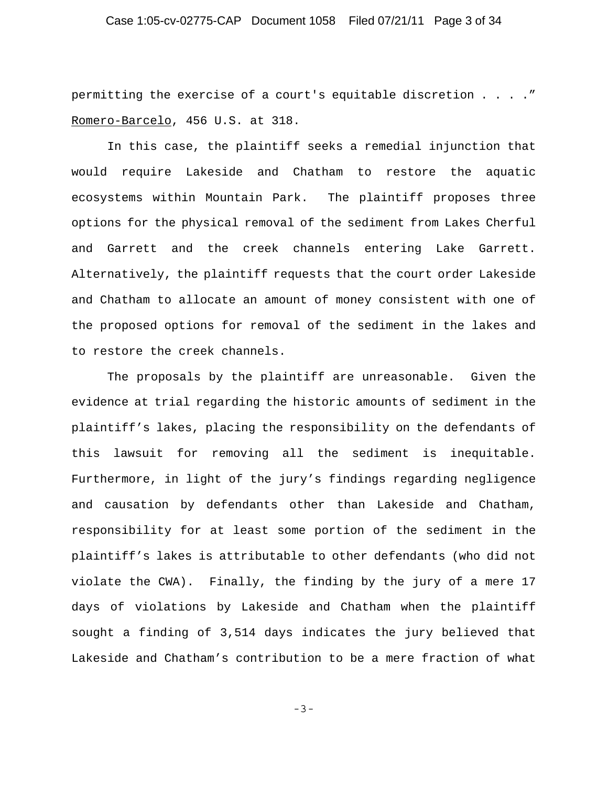# Case 1:05-cv-02775-CAP Document 1058 Filed 07/21/11 Page 3 of 34

permitting the exercise of a court's equitable discretion . . . ." Romero-Barcelo, 456 U.S. at 318.

In this case, the plaintiff seeks a remedial injunction that would require Lakeside and Chatham to restore the aquatic ecosystems within Mountain Park. The plaintiff proposes three options for the physical removal of the sediment from Lakes Cherful and Garrett and the creek channels entering Lake Garrett. Alternatively, the plaintiff requests that the court order Lakeside and Chatham to allocate an amount of money consistent with one of the proposed options for removal of the sediment in the lakes and to restore the creek channels.

The proposals by the plaintiff are unreasonable. Given the evidence at trial regarding the historic amounts of sediment in the plaintiff's lakes, placing the responsibility on the defendants of this lawsuit for removing all the sediment is inequitable. Furthermore, in light of the jury's findings regarding negligence and causation by defendants other than Lakeside and Chatham, responsibility for at least some portion of the sediment in the plaintiff's lakes is attributable to other defendants (who did not violate the CWA). Finally, the finding by the jury of a mere 17 days of violations by Lakeside and Chatham when the plaintiff sought a finding of 3,514 days indicates the jury believed that Lakeside and Chatham's contribution to be a mere fraction of what

-3-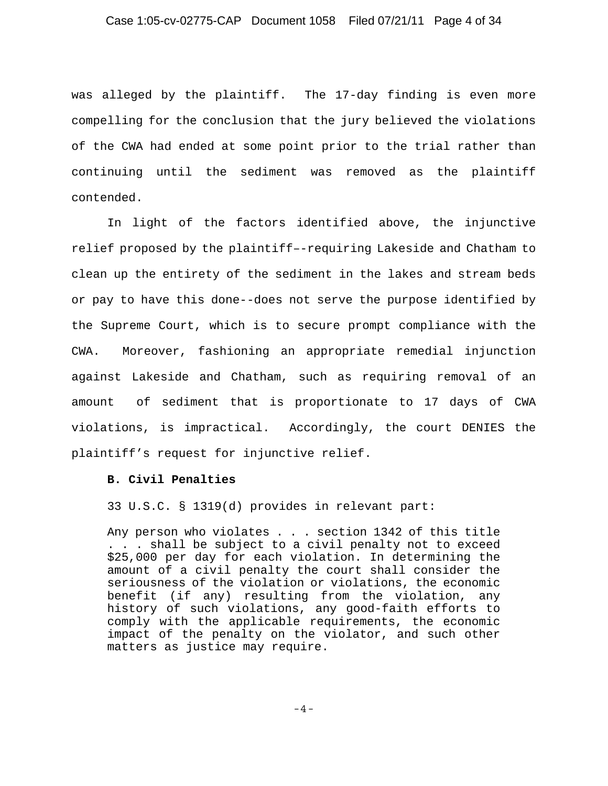## Case 1:05-cv-02775-CAP Document 1058 Filed 07/21/11 Page 4 of 34

was alleged by the plaintiff. The 17-day finding is even more compelling for the conclusion that the jury believed the violations of the CWA had ended at some point prior to the trial rather than continuing until the sediment was removed as the plaintiff contended.

In light of the factors identified above, the injunctive relief proposed by the plaintiff–-requiring Lakeside and Chatham to clean up the entirety of the sediment in the lakes and stream beds or pay to have this done--does not serve the purpose identified by the Supreme Court, which is to secure prompt compliance with the CWA. Moreover, fashioning an appropriate remedial injunction against Lakeside and Chatham, such as requiring removal of an amount of sediment that is proportionate to 17 days of CWA violations, is impractical. Accordingly, the court DENIES the plaintiff's request for injunctive relief.

#### **B. Civil Penalties**

33 U.S.C. § 1319(d) provides in relevant part:

Any person who violates . . . section 1342 of this title . . . shall be subject to a civil penalty not to exceed \$25,000 per day for each violation. In determining the amount of a civil penalty the court shall consider the seriousness of the violation or violations, the economic benefit (if any) resulting from the violation, any history of such violations, any good-faith efforts to comply with the applicable requirements, the economic impact of the penalty on the violator, and such other matters as justice may require.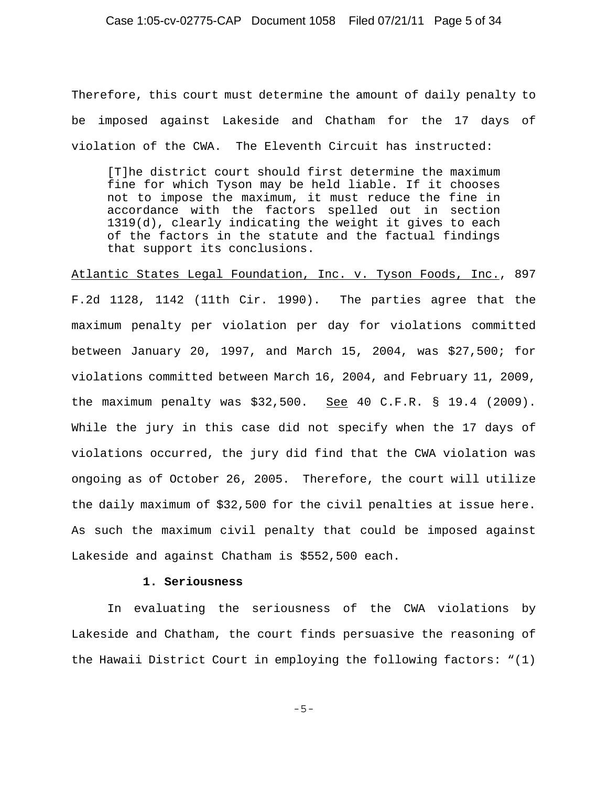## Case 1:05-cv-02775-CAP Document 1058 Filed 07/21/11 Page 5 of 34

Therefore, this court must determine the amount of daily penalty to be imposed against Lakeside and Chatham for the 17 days of violation of the CWA. The Eleventh Circuit has instructed:

[T]he district court should first determine the maximum fine for which Tyson may be held liable. If it chooses not to impose the maximum, it must reduce the fine in accordance with the factors spelled out in section 1319(d), clearly indicating the weight it gives to each of the factors in the statute and the factual findings that support its conclusions.

Atlantic States Legal Foundation, Inc. v. Tyson Foods, Inc., 897 F.2d 1128, 1142 (11th Cir. 1990). The parties agree that the maximum penalty per violation per day for violations committed between January 20, 1997, and March 15, 2004, was \$27,500; for violations committed between March 16, 2004, and February 11, 2009, the maximum penalty was  $$32,500.$  See 40 C.F.R. § 19.4 (2009). While the jury in this case did not specify when the 17 days of violations occurred, the jury did find that the CWA violation was ongoing as of October 26, 2005. Therefore, the court will utilize the daily maximum of \$32,500 for the civil penalties at issue here. As such the maximum civil penalty that could be imposed against Lakeside and against Chatham is \$552,500 each.

### **1. Seriousness**

In evaluating the seriousness of the CWA violations by Lakeside and Chatham, the court finds persuasive the reasoning of the Hawaii District Court in employing the following factors: "(1)

-5-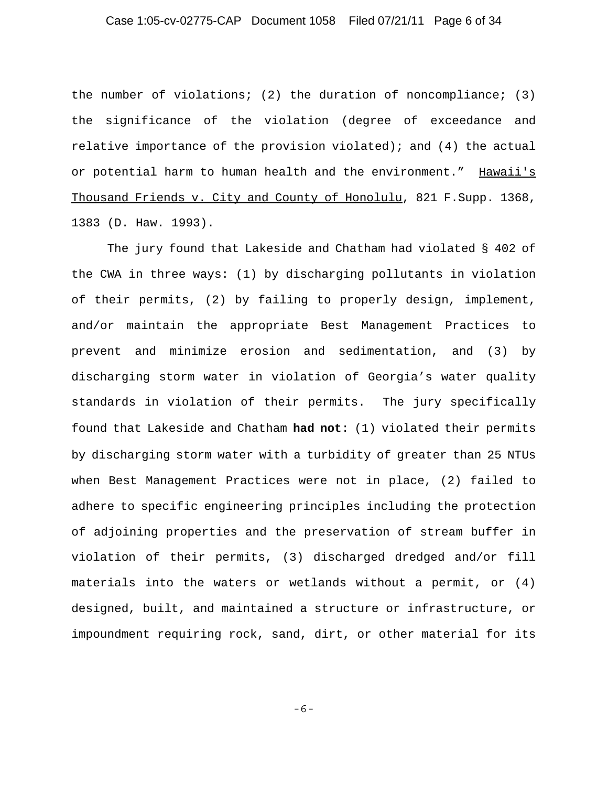## Case 1:05-cv-02775-CAP Document 1058 Filed 07/21/11 Page 6 of 34

the number of violations; (2) the duration of noncompliance; (3) the significance of the violation (degree of exceedance and relative importance of the provision violated); and (4) the actual or potential harm to human health and the environment." Hawaii's Thousand Friends v. City and County of Honolulu, 821 F.Supp. 1368, 1383 (D. Haw. 1993).

The jury found that Lakeside and Chatham had violated § 402 of the CWA in three ways: (1) by discharging pollutants in violation of their permits, (2) by failing to properly design, implement, and/or maintain the appropriate Best Management Practices to prevent and minimize erosion and sedimentation, and (3) by discharging storm water in violation of Georgia's water quality standards in violation of their permits. The jury specifically found that Lakeside and Chatham **had not**: (1) violated their permits by discharging storm water with a turbidity of greater than 25 NTUs when Best Management Practices were not in place, (2) failed to adhere to specific engineering principles including the protection of adjoining properties and the preservation of stream buffer in violation of their permits, (3) discharged dredged and/or fill materials into the waters or wetlands without a permit, or (4) designed, built, and maintained a structure or infrastructure, or impoundment requiring rock, sand, dirt, or other material for its

-6-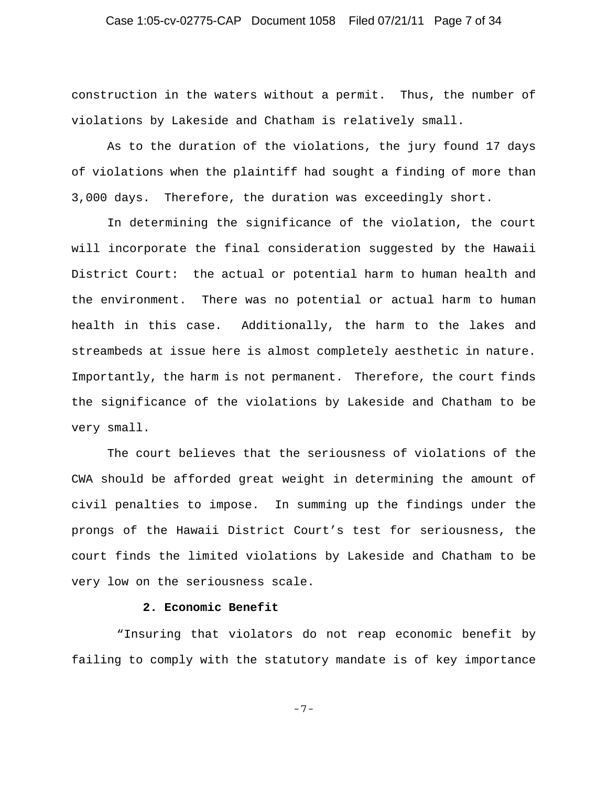# Case 1:05-cv-02775-CAP Document 1058 Filed 07/21/11 Page 7 of 34

construction in the waters without a permit. Thus, the number of violations by Lakeside and Chatham is relatively small.

As to the duration of the violations, the jury found 17 days of violations when the plaintiff had sought a finding of more than 3,000 days. Therefore, the duration was exceedingly short.

In determining the significance of the violation, the court will incorporate the final consideration suggested by the Hawaii District Court: the actual or potential harm to human health and the environment. There was no potential or actual harm to human health in this case. Additionally, the harm to the lakes and streambeds at issue here is almost completely aesthetic in nature. Importantly, the harm is not permanent. Therefore, the court finds the significance of the violations by Lakeside and Chatham to be very small.

The court believes that the seriousness of violations of the CWA should be afforded great weight in determining the amount of civil penalties to impose. In summing up the findings under the prongs of the Hawaii District Court's test for seriousness, the court finds the limited violations by Lakeside and Chatham to be very low on the seriousness scale.

## **2. Economic Benefit**

 "Insuring that violators do not reap economic benefit by failing to comply with the statutory mandate is of key importance

-7-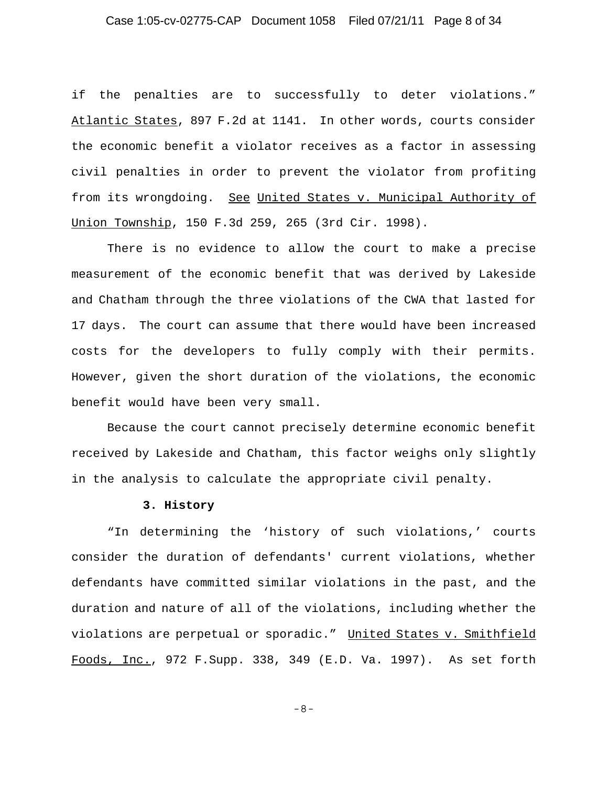# Case 1:05-cv-02775-CAP Document 1058 Filed 07/21/11 Page 8 of 34

if the penalties are to successfully to deter violations." Atlantic States, 897 F.2d at 1141. In other words, courts consider the economic benefit a violator receives as a factor in assessing civil penalties in order to prevent the violator from profiting from its wrongdoing. See United States v. Municipal Authority of Union Township, 150 F.3d 259, 265 (3rd Cir. 1998).

There is no evidence to allow the court to make a precise measurement of the economic benefit that was derived by Lakeside and Chatham through the three violations of the CWA that lasted for 17 days. The court can assume that there would have been increased costs for the developers to fully comply with their permits. However, given the short duration of the violations, the economic benefit would have been very small.

Because the court cannot precisely determine economic benefit received by Lakeside and Chatham, this factor weighs only slightly in the analysis to calculate the appropriate civil penalty.

#### **3. History**

"In determining the 'history of such violations,' courts consider the duration of defendants' current violations, whether defendants have committed similar violations in the past, and the duration and nature of all of the violations, including whether the violations are perpetual or sporadic." United States v. Smithfield Foods, Inc., 972 F.Supp. 338, 349 (E.D. Va. 1997). As set forth

-8-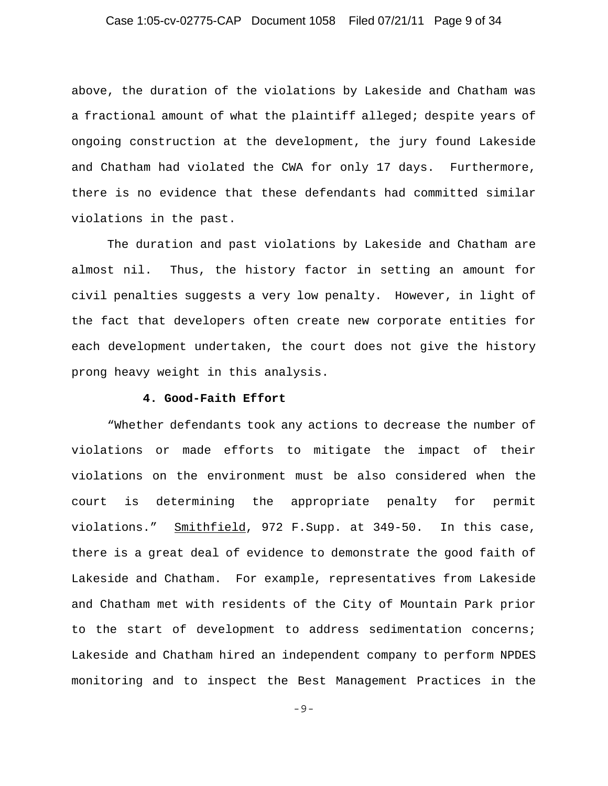# Case 1:05-cv-02775-CAP Document 1058 Filed 07/21/11 Page 9 of 34

above, the duration of the violations by Lakeside and Chatham was a fractional amount of what the plaintiff alleged; despite years of ongoing construction at the development, the jury found Lakeside and Chatham had violated the CWA for only 17 days. Furthermore, there is no evidence that these defendants had committed similar violations in the past.

The duration and past violations by Lakeside and Chatham are almost nil. Thus, the history factor in setting an amount for civil penalties suggests a very low penalty. However, in light of the fact that developers often create new corporate entities for each development undertaken, the court does not give the history prong heavy weight in this analysis.

## **4. Good-Faith Effort**

"Whether defendants took any actions to decrease the number of violations or made efforts to mitigate the impact of their violations on the environment must be also considered when the court is determining the appropriate penalty for permit violations." Smithfield, 972 F.Supp. at 349-50. In this case, there is a great deal of evidence to demonstrate the good faith of Lakeside and Chatham. For example, representatives from Lakeside and Chatham met with residents of the City of Mountain Park prior to the start of development to address sedimentation concerns; Lakeside and Chatham hired an independent company to perform NPDES monitoring and to inspect the Best Management Practices in the

-9-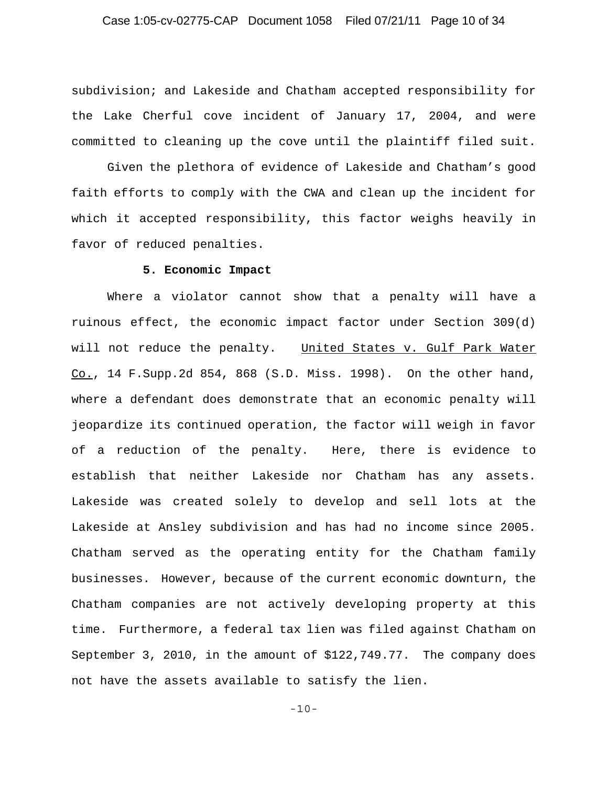## Case 1:05-cv-02775-CAP Document 1058 Filed 07/21/11 Page 10 of 34

subdivision; and Lakeside and Chatham accepted responsibility for the Lake Cherful cove incident of January 17, 2004, and were committed to cleaning up the cove until the plaintiff filed suit.

Given the plethora of evidence of Lakeside and Chatham's good faith efforts to comply with the CWA and clean up the incident for which it accepted responsibility, this factor weighs heavily in favor of reduced penalties.

#### **5. Economic Impact**

Where a violator cannot show that a penalty will have a ruinous effect, the economic impact factor under Section 309(d) will not reduce the penalty. United States v. Gulf Park Water Co., 14 F.Supp.2d 854, 868 (S.D. Miss. 1998). On the other hand, where a defendant does demonstrate that an economic penalty will jeopardize its continued operation, the factor will weigh in favor of a reduction of the penalty. Here, there is evidence to establish that neither Lakeside nor Chatham has any assets. Lakeside was created solely to develop and sell lots at the Lakeside at Ansley subdivision and has had no income since 2005. Chatham served as the operating entity for the Chatham family businesses. However, because of the current economic downturn, the Chatham companies are not actively developing property at this time. Furthermore, a federal tax lien was filed against Chatham on September 3, 2010, in the amount of \$122,749.77. The company does not have the assets available to satisfy the lien.

-10-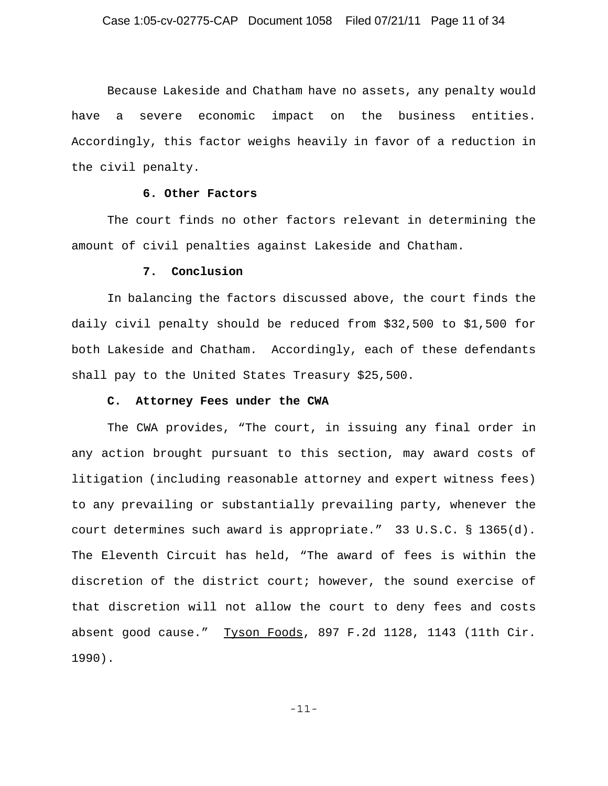Because Lakeside and Chatham have no assets, any penalty would have a severe economic impact on the business entities. Accordingly, this factor weighs heavily in favor of a reduction in the civil penalty.

### **6. Other Factors**

The court finds no other factors relevant in determining the amount of civil penalties against Lakeside and Chatham.

#### **7. Conclusion**

In balancing the factors discussed above, the court finds the daily civil penalty should be reduced from \$32,500 to \$1,500 for both Lakeside and Chatham. Accordingly, each of these defendants shall pay to the United States Treasury \$25,500.

### **C. Attorney Fees under the CWA**

The CWA provides, "The court, in issuing any final order in any action brought pursuant to this section, may award costs of litigation (including reasonable attorney and expert witness fees) to any prevailing or substantially prevailing party, whenever the court determines such award is appropriate." 33 U.S.C. § 1365(d). The Eleventh Circuit has held, "The award of fees is within the discretion of the district court; however, the sound exercise of that discretion will not allow the court to deny fees and costs absent good cause." Tyson Foods, 897 F.2d 1128, 1143 (11th Cir. 1990).

-11-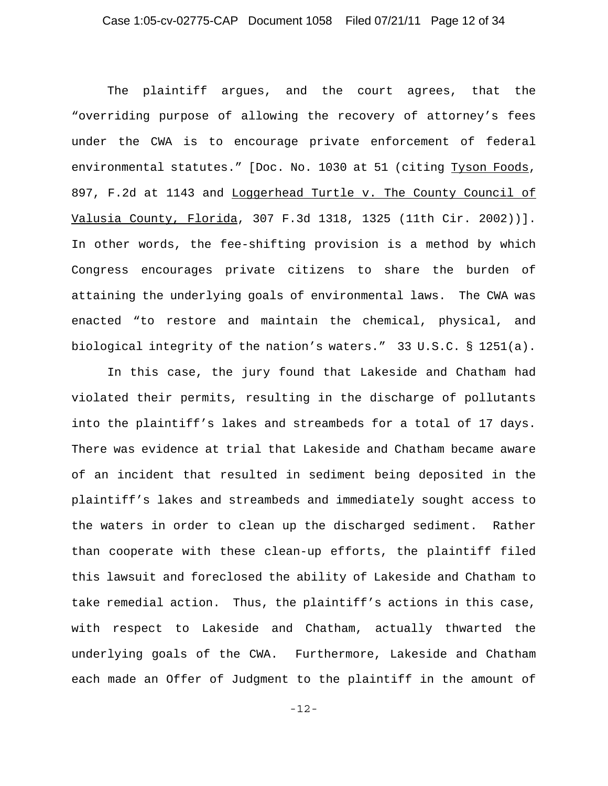The plaintiff argues, and the court agrees, that the "overriding purpose of allowing the recovery of attorney's fees under the CWA is to encourage private enforcement of federal environmental statutes." [Doc. No. 1030 at 51 (citing Tyson Foods, 897, F.2d at 1143 and Loggerhead Turtle v. The County Council of Valusia County, Florida, 307 F.3d 1318, 1325 (11th Cir. 2002))]. In other words, the fee-shifting provision is a method by which Congress encourages private citizens to share the burden of attaining the underlying goals of environmental laws. The CWA was enacted "to restore and maintain the chemical, physical, and biological integrity of the nation's waters." 33 U.S.C. § 1251(a).

In this case, the jury found that Lakeside and Chatham had violated their permits, resulting in the discharge of pollutants into the plaintiff's lakes and streambeds for a total of 17 days. There was evidence at trial that Lakeside and Chatham became aware of an incident that resulted in sediment being deposited in the plaintiff's lakes and streambeds and immediately sought access to the waters in order to clean up the discharged sediment. Rather than cooperate with these clean-up efforts, the plaintiff filed this lawsuit and foreclosed the ability of Lakeside and Chatham to take remedial action. Thus, the plaintiff's actions in this case, with respect to Lakeside and Chatham, actually thwarted the underlying goals of the CWA. Furthermore, Lakeside and Chatham each made an Offer of Judgment to the plaintiff in the amount of

-12-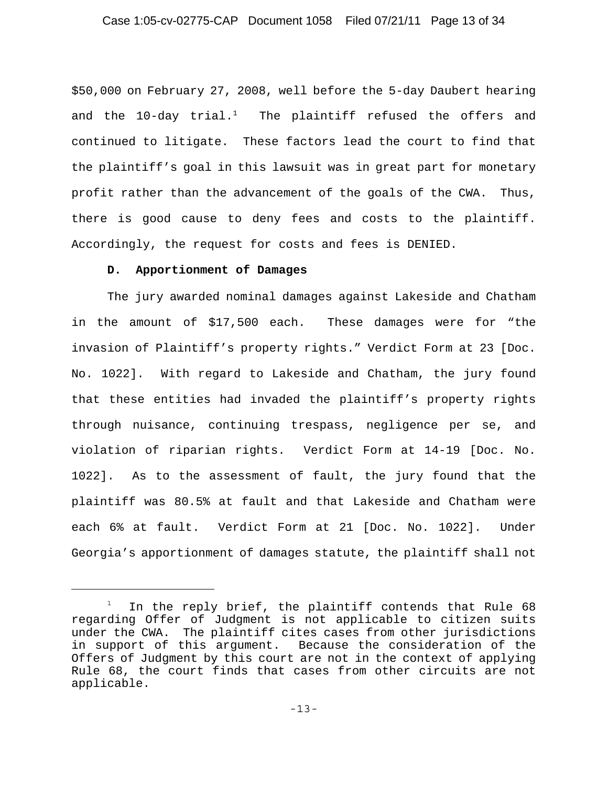\$50,000 on February 27, 2008, well before the 5-day Daubert hearing and the  $10$ -day trial.<sup>1</sup> The plaintiff refused the offers and continued to litigate. These factors lead the court to find that the plaintiff's goal in this lawsuit was in great part for monetary profit rather than the advancement of the goals of the CWA. Thus, there is good cause to deny fees and costs to the plaintiff. Accordingly, the request for costs and fees is DENIED.

### **D. Apportionment of Damages**

The jury awarded nominal damages against Lakeside and Chatham in the amount of \$17,500 each. These damages were for "the invasion of Plaintiff's property rights." Verdict Form at 23 [Doc. No. 1022]. With regard to Lakeside and Chatham, the jury found that these entities had invaded the plaintiff's property rights through nuisance, continuing trespass, negligence per se, and violation of riparian rights. Verdict Form at 14-19 [Doc. No. 1022]. As to the assessment of fault, the jury found that the plaintiff was 80.5% at fault and that Lakeside and Chatham were each 6% at fault. Verdict Form at 21 [Doc. No. 1022]. Under Georgia's apportionment of damages statute, the plaintiff shall not

<sup>1</sup> In the reply brief, the plaintiff contends that Rule 68 regarding Offer of Judgment is not applicable to citizen suits under the CWA. The plaintiff cites cases from other jurisdictions in support of this argument. Because the consideration of the Offers of Judgment by this court are not in the context of applying Rule 68, the court finds that cases from other circuits are not applicable.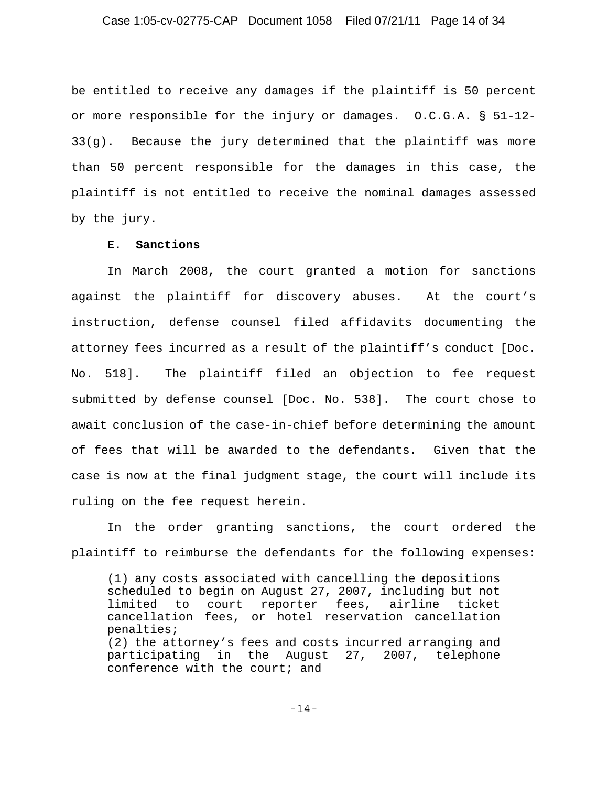be entitled to receive any damages if the plaintiff is 50 percent or more responsible for the injury or damages. O.C.G.A. § 51-12- 33(g). Because the jury determined that the plaintiff was more than 50 percent responsible for the damages in this case, the plaintiff is not entitled to receive the nominal damages assessed by the jury.

## **E. Sanctions**

In March 2008, the court granted a motion for sanctions against the plaintiff for discovery abuses. At the court's instruction, defense counsel filed affidavits documenting the attorney fees incurred as a result of the plaintiff's conduct [Doc. No. 518]. The plaintiff filed an objection to fee request submitted by defense counsel [Doc. No. 538]. The court chose to await conclusion of the case-in-chief before determining the amount of fees that will be awarded to the defendants. Given that the case is now at the final judgment stage, the court will include its ruling on the fee request herein.

In the order granting sanctions, the court ordered the plaintiff to reimburse the defendants for the following expenses:

(1) any costs associated with cancelling the depositions scheduled to begin on August 27, 2007, including but not limited to court reporter fees, airline ticket cancellation fees, or hotel reservation cancellation penalties; (2) the attorney's fees and costs incurred arranging and participating in the August 27, 2007, telephone conference with the court; and

-14-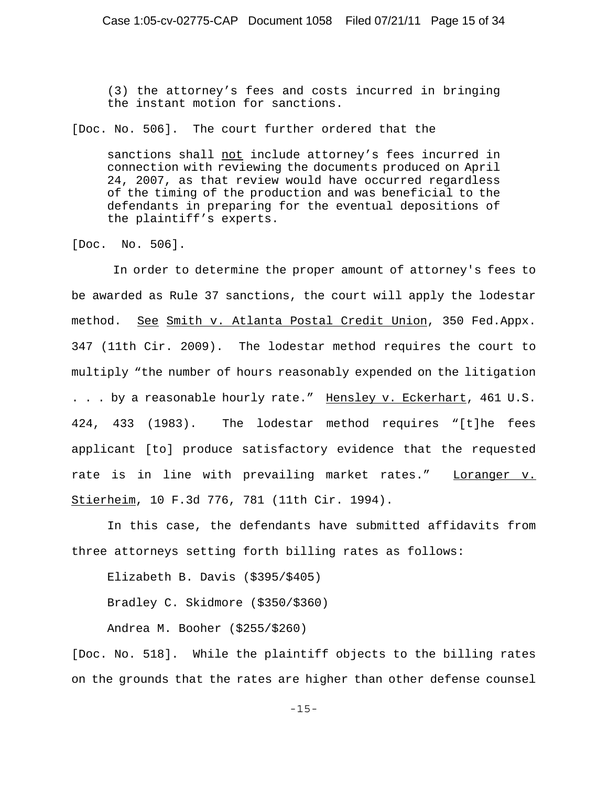(3) the attorney's fees and costs incurred in bringing the instant motion for sanctions.

[Doc. No. 506]. The court further ordered that the

sanctions shall not include attorney's fees incurred in connection with reviewing the documents produced on April 24, 2007, as that review would have occurred regardless of the timing of the production and was beneficial to the defendants in preparing for the eventual depositions of the plaintiff's experts.

[Doc. No. 506].

 In order to determine the proper amount of attorney's fees to be awarded as Rule 37 sanctions, the court will apply the lodestar method. See Smith v. Atlanta Postal Credit Union, 350 Fed.Appx. 347 (11th Cir. 2009). The lodestar method requires the court to multiply "the number of hours reasonably expended on the litigation . . . by a reasonable hourly rate." Hensley v. Eckerhart, 461 U.S. 424, 433 (1983). The lodestar method requires "[t]he fees applicant [to] produce satisfactory evidence that the requested rate is in line with prevailing market rates." Loranger v. Stierheim, 10 F.3d 776, 781 (11th Cir. 1994).

In this case, the defendants have submitted affidavits from three attorneys setting forth billing rates as follows:

Elizabeth B. Davis (\$395/\$405)

Bradley C. Skidmore (\$350/\$360)

Andrea M. Booher (\$255/\$260)

[Doc. No. 518]. While the plaintiff objects to the billing rates on the grounds that the rates are higher than other defense counsel

-15-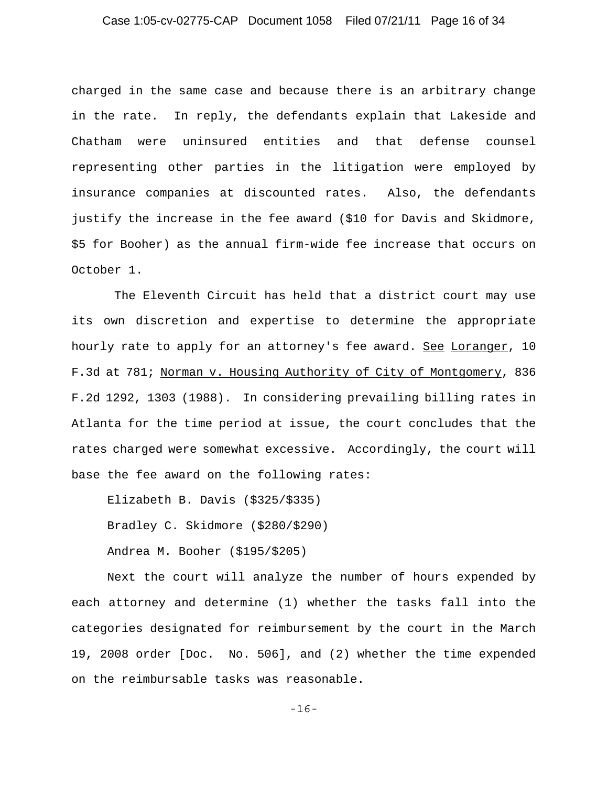## Case 1:05-cv-02775-CAP Document 1058 Filed 07/21/11 Page 16 of 34

charged in the same case and because there is an arbitrary change in the rate. In reply, the defendants explain that Lakeside and Chatham were uninsured entities and that defense counsel representing other parties in the litigation were employed by insurance companies at discounted rates. Also, the defendants justify the increase in the fee award (\$10 for Davis and Skidmore, \$5 for Booher) as the annual firm-wide fee increase that occurs on October 1.

 The Eleventh Circuit has held that a district court may use its own discretion and expertise to determine the appropriate hourly rate to apply for an attorney's fee award. See Loranger, 10 F.3d at 781; Norman v. Housing Authority of City of Montgomery, 836 F.2d 1292, 1303 (1988). In considering prevailing billing rates in Atlanta for the time period at issue, the court concludes that the rates charged were somewhat excessive. Accordingly, the court will base the fee award on the following rates:

Elizabeth B. Davis (\$325/\$335) Bradley C. Skidmore (\$280/\$290) Andrea M. Booher (\$195/\$205)

Next the court will analyze the number of hours expended by each attorney and determine (1) whether the tasks fall into the categories designated for reimbursement by the court in the March 19, 2008 order [Doc. No. 506], and (2) whether the time expended on the reimbursable tasks was reasonable.

-16-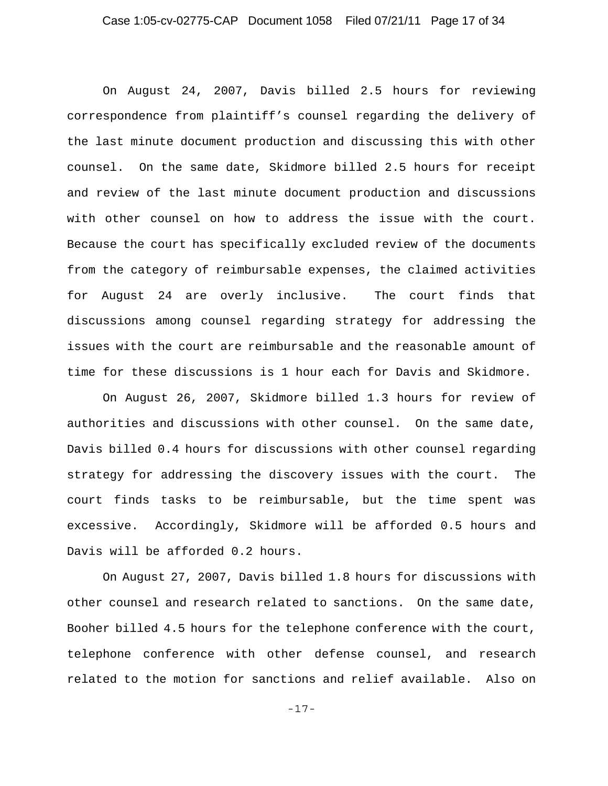# Case 1:05-cv-02775-CAP Document 1058 Filed 07/21/11 Page 17 of 34

On August 24, 2007, Davis billed 2.5 hours for reviewing correspondence from plaintiff's counsel regarding the delivery of the last minute document production and discussing this with other counsel. On the same date, Skidmore billed 2.5 hours for receipt and review of the last minute document production and discussions with other counsel on how to address the issue with the court. Because the court has specifically excluded review of the documents from the category of reimbursable expenses, the claimed activities for August 24 are overly inclusive. The court finds that discussions among counsel regarding strategy for addressing the issues with the court are reimbursable and the reasonable amount of time for these discussions is 1 hour each for Davis and Skidmore.

On August 26, 2007, Skidmore billed 1.3 hours for review of authorities and discussions with other counsel. On the same date, Davis billed 0.4 hours for discussions with other counsel regarding strategy for addressing the discovery issues with the court. The court finds tasks to be reimbursable, but the time spent was excessive. Accordingly, Skidmore will be afforded 0.5 hours and Davis will be afforded 0.2 hours.

On August 27, 2007, Davis billed 1.8 hours for discussions with other counsel and research related to sanctions. On the same date, Booher billed 4.5 hours for the telephone conference with the court, telephone conference with other defense counsel, and research related to the motion for sanctions and relief available. Also on

-17-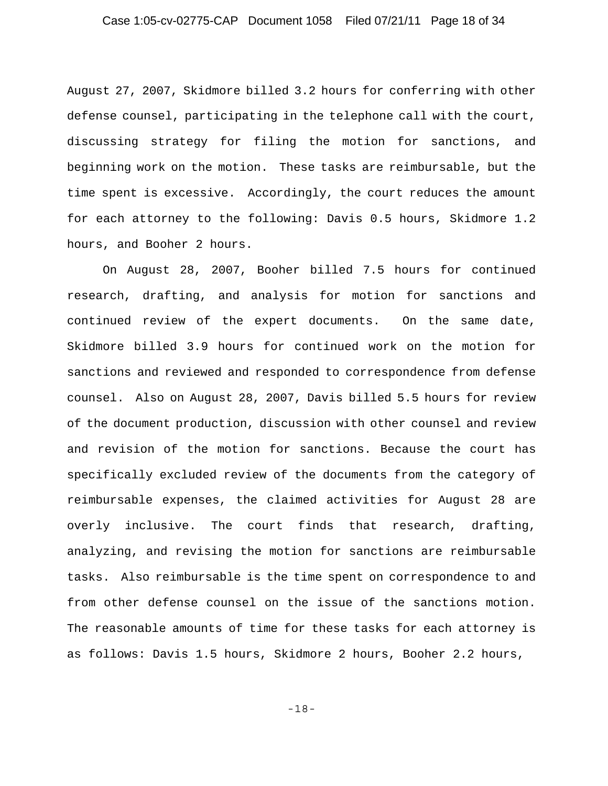## Case 1:05-cv-02775-CAP Document 1058 Filed 07/21/11 Page 18 of 34

August 27, 2007, Skidmore billed 3.2 hours for conferring with other defense counsel, participating in the telephone call with the court, discussing strategy for filing the motion for sanctions, and beginning work on the motion. These tasks are reimbursable, but the time spent is excessive. Accordingly, the court reduces the amount for each attorney to the following: Davis 0.5 hours, Skidmore 1.2 hours, and Booher 2 hours.

On August 28, 2007, Booher billed 7.5 hours for continued research, drafting, and analysis for motion for sanctions and continued review of the expert documents. On the same date, Skidmore billed 3.9 hours for continued work on the motion for sanctions and reviewed and responded to correspondence from defense counsel. Also on August 28, 2007, Davis billed 5.5 hours for review of the document production, discussion with other counsel and review and revision of the motion for sanctions. Because the court has specifically excluded review of the documents from the category of reimbursable expenses, the claimed activities for August 28 are overly inclusive. The court finds that research, drafting, analyzing, and revising the motion for sanctions are reimbursable tasks. Also reimbursable is the time spent on correspondence to and from other defense counsel on the issue of the sanctions motion. The reasonable amounts of time for these tasks for each attorney is as follows: Davis 1.5 hours, Skidmore 2 hours, Booher 2.2 hours,

-18-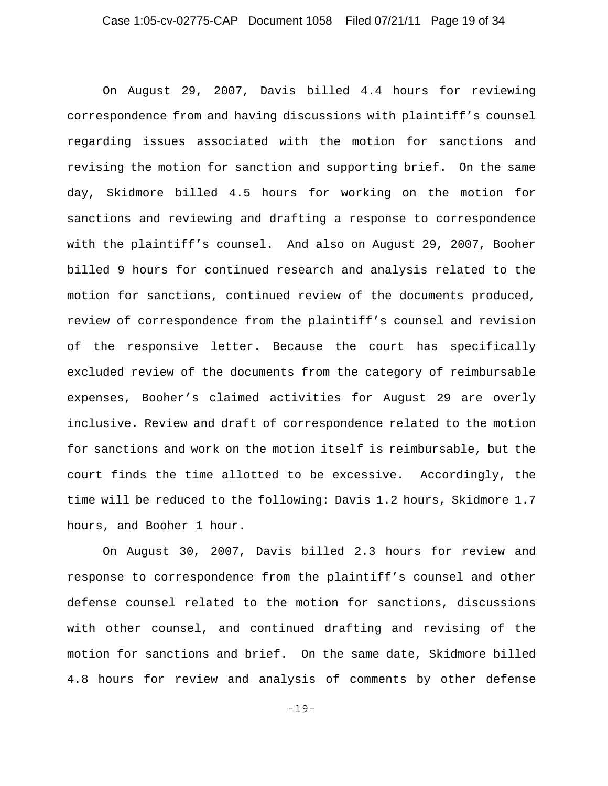On August 29, 2007, Davis billed 4.4 hours for reviewing correspondence from and having discussions with plaintiff's counsel regarding issues associated with the motion for sanctions and revising the motion for sanction and supporting brief. On the same day, Skidmore billed 4.5 hours for working on the motion for sanctions and reviewing and drafting a response to correspondence with the plaintiff's counsel. And also on August 29, 2007, Booher billed 9 hours for continued research and analysis related to the motion for sanctions, continued review of the documents produced, review of correspondence from the plaintiff's counsel and revision of the responsive letter. Because the court has specifically excluded review of the documents from the category of reimbursable expenses, Booher's claimed activities for August 29 are overly inclusive. Review and draft of correspondence related to the motion for sanctions and work on the motion itself is reimbursable, but the court finds the time allotted to be excessive. Accordingly, the time will be reduced to the following: Davis 1.2 hours, Skidmore 1.7 hours, and Booher 1 hour.

On August 30, 2007, Davis billed 2.3 hours for review and response to correspondence from the plaintiff's counsel and other defense counsel related to the motion for sanctions, discussions with other counsel, and continued drafting and revising of the motion for sanctions and brief. On the same date, Skidmore billed 4.8 hours for review and analysis of comments by other defense

-19-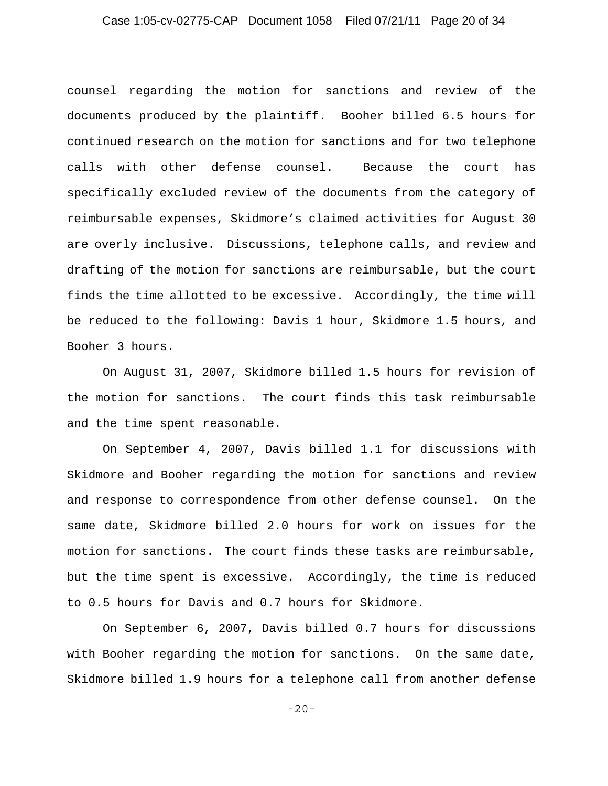## Case 1:05-cv-02775-CAP Document 1058 Filed 07/21/11 Page 20 of 34

counsel regarding the motion for sanctions and review of the documents produced by the plaintiff. Booher billed 6.5 hours for continued research on the motion for sanctions and for two telephone calls with other defense counsel. Because the court has specifically excluded review of the documents from the category of reimbursable expenses, Skidmore's claimed activities for August 30 are overly inclusive. Discussions, telephone calls, and review and drafting of the motion for sanctions are reimbursable, but the court finds the time allotted to be excessive. Accordingly, the time will be reduced to the following: Davis 1 hour, Skidmore 1.5 hours, and Booher 3 hours.

On August 31, 2007, Skidmore billed 1.5 hours for revision of the motion for sanctions. The court finds this task reimbursable and the time spent reasonable.

On September 4, 2007, Davis billed 1.1 for discussions with Skidmore and Booher regarding the motion for sanctions and review and response to correspondence from other defense counsel. On the same date, Skidmore billed 2.0 hours for work on issues for the motion for sanctions. The court finds these tasks are reimbursable, but the time spent is excessive. Accordingly, the time is reduced to 0.5 hours for Davis and 0.7 hours for Skidmore.

On September 6, 2007, Davis billed 0.7 hours for discussions with Booher regarding the motion for sanctions. On the same date, Skidmore billed 1.9 hours for a telephone call from another defense

-20-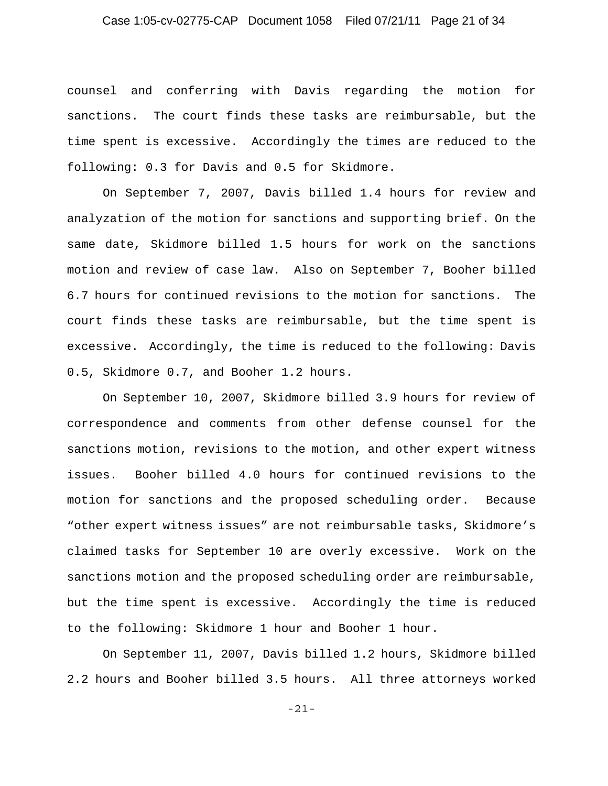## Case 1:05-cv-02775-CAP Document 1058 Filed 07/21/11 Page 21 of 34

counsel and conferring with Davis regarding the motion for sanctions. The court finds these tasks are reimbursable, but the time spent is excessive. Accordingly the times are reduced to the following: 0.3 for Davis and 0.5 for Skidmore.

On September 7, 2007, Davis billed 1.4 hours for review and analyzation of the motion for sanctions and supporting brief. On the same date, Skidmore billed 1.5 hours for work on the sanctions motion and review of case law. Also on September 7, Booher billed 6.7 hours for continued revisions to the motion for sanctions. The court finds these tasks are reimbursable, but the time spent is excessive. Accordingly, the time is reduced to the following: Davis 0.5, Skidmore 0.7, and Booher 1.2 hours.

On September 10, 2007, Skidmore billed 3.9 hours for review of correspondence and comments from other defense counsel for the sanctions motion, revisions to the motion, and other expert witness issues. Booher billed 4.0 hours for continued revisions to the motion for sanctions and the proposed scheduling order. Because "other expert witness issues" are not reimbursable tasks, Skidmore's claimed tasks for September 10 are overly excessive. Work on the sanctions motion and the proposed scheduling order are reimbursable, but the time spent is excessive. Accordingly the time is reduced to the following: Skidmore 1 hour and Booher 1 hour.

On September 11, 2007, Davis billed 1.2 hours, Skidmore billed 2.2 hours and Booher billed 3.5 hours. All three attorneys worked

-21-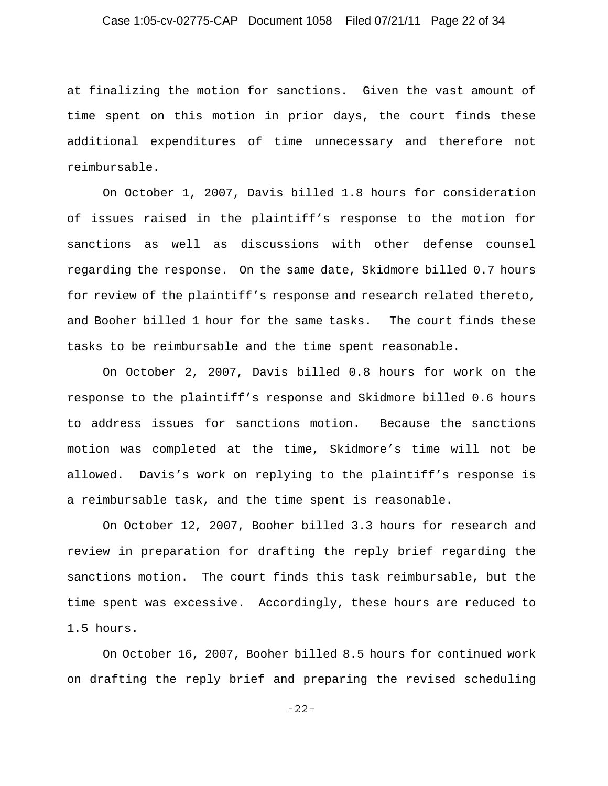## Case 1:05-cv-02775-CAP Document 1058 Filed 07/21/11 Page 22 of 34

at finalizing the motion for sanctions. Given the vast amount of time spent on this motion in prior days, the court finds these additional expenditures of time unnecessary and therefore not reimbursable.

On October 1, 2007, Davis billed 1.8 hours for consideration of issues raised in the plaintiff's response to the motion for sanctions as well as discussions with other defense counsel regarding the response. On the same date, Skidmore billed 0.7 hours for review of the plaintiff's response and research related thereto, and Booher billed 1 hour for the same tasks. The court finds these tasks to be reimbursable and the time spent reasonable.

On October 2, 2007, Davis billed 0.8 hours for work on the response to the plaintiff's response and Skidmore billed 0.6 hours to address issues for sanctions motion. Because the sanctions motion was completed at the time, Skidmore's time will not be allowed. Davis's work on replying to the plaintiff's response is a reimbursable task, and the time spent is reasonable.

On October 12, 2007, Booher billed 3.3 hours for research and review in preparation for drafting the reply brief regarding the sanctions motion. The court finds this task reimbursable, but the time spent was excessive. Accordingly, these hours are reduced to 1.5 hours.

On October 16, 2007, Booher billed 8.5 hours for continued work on drafting the reply brief and preparing the revised scheduling

-22-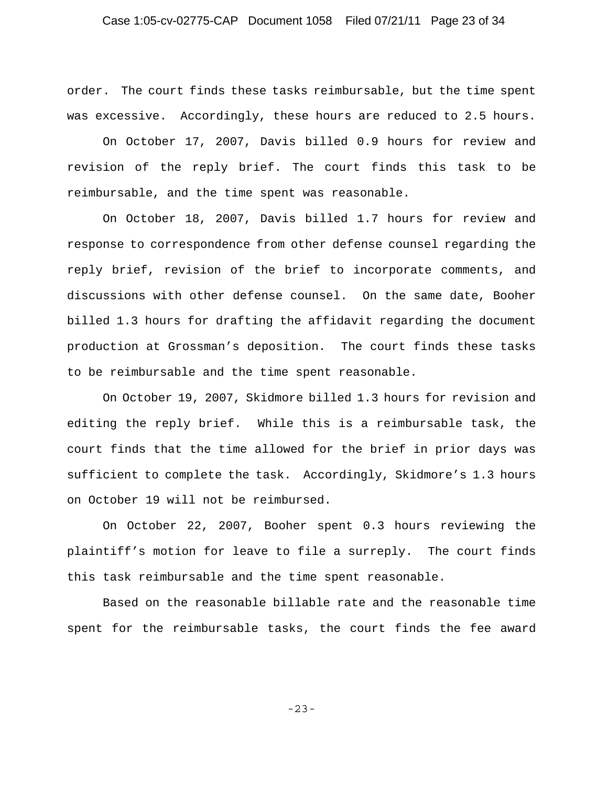## Case 1:05-cv-02775-CAP Document 1058 Filed 07/21/11 Page 23 of 34

order. The court finds these tasks reimbursable, but the time spent was excessive. Accordingly, these hours are reduced to 2.5 hours.

On October 17, 2007, Davis billed 0.9 hours for review and revision of the reply brief. The court finds this task to be reimbursable, and the time spent was reasonable.

On October 18, 2007, Davis billed 1.7 hours for review and response to correspondence from other defense counsel regarding the reply brief, revision of the brief to incorporate comments, and discussions with other defense counsel. On the same date, Booher billed 1.3 hours for drafting the affidavit regarding the document production at Grossman's deposition. The court finds these tasks to be reimbursable and the time spent reasonable.

On October 19, 2007, Skidmore billed 1.3 hours for revision and editing the reply brief. While this is a reimbursable task, the court finds that the time allowed for the brief in prior days was sufficient to complete the task. Accordingly, Skidmore's 1.3 hours on October 19 will not be reimbursed.

On October 22, 2007, Booher spent 0.3 hours reviewing the plaintiff's motion for leave to file a surreply. The court finds this task reimbursable and the time spent reasonable.

Based on the reasonable billable rate and the reasonable time spent for the reimbursable tasks, the court finds the fee award

-23-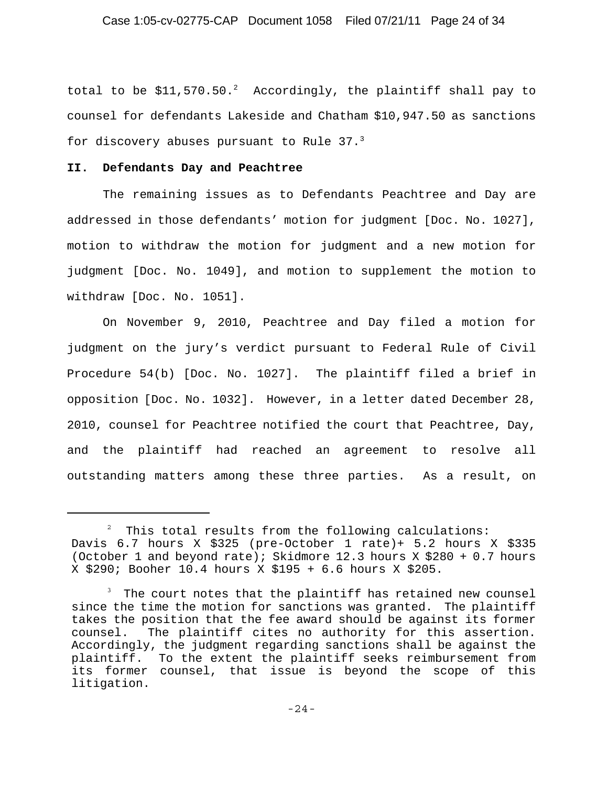total to be  $$11,570.50.^2$  Accordingly, the plaintiff shall pay to counsel for defendants Lakeside and Chatham \$10,947.50 as sanctions for discovery abuses pursuant to Rule  $37.^3$ 

### **II. Defendants Day and Peachtree**

The remaining issues as to Defendants Peachtree and Day are addressed in those defendants' motion for judgment [Doc. No. 1027], motion to withdraw the motion for judgment and a new motion for judgment [Doc. No. 1049], and motion to supplement the motion to withdraw [Doc. No. 1051].

On November 9, 2010, Peachtree and Day filed a motion for judgment on the jury's verdict pursuant to Federal Rule of Civil Procedure 54(b) [Doc. No. 1027]. The plaintiff filed a brief in opposition [Doc. No. 1032]. However, in a letter dated December 28, 2010, counsel for Peachtree notified the court that Peachtree, Day, and the plaintiff had reached an agreement to resolve all outstanding matters among these three parties. As a result, on

 $2$  This total results from the following calculations: Davis 6.7 hours X \$325 (pre-October 1 rate)+ 5.2 hours X \$335 (October 1 and beyond rate); Skidmore 12.3 hours X \$280 + 0.7 hours X \$290; Booher 10.4 hours X \$195 + 6.6 hours X \$205.

 $3$  The court notes that the plaintiff has retained new counsel since the time the motion for sanctions was granted. The plaintiff takes the position that the fee award should be against its former counsel. The plaintiff cites no authority for this assertion. Accordingly, the judgment regarding sanctions shall be against the plaintiff. To the extent the plaintiff seeks reimbursement from its former counsel, that issue is beyond the scope of this litigation.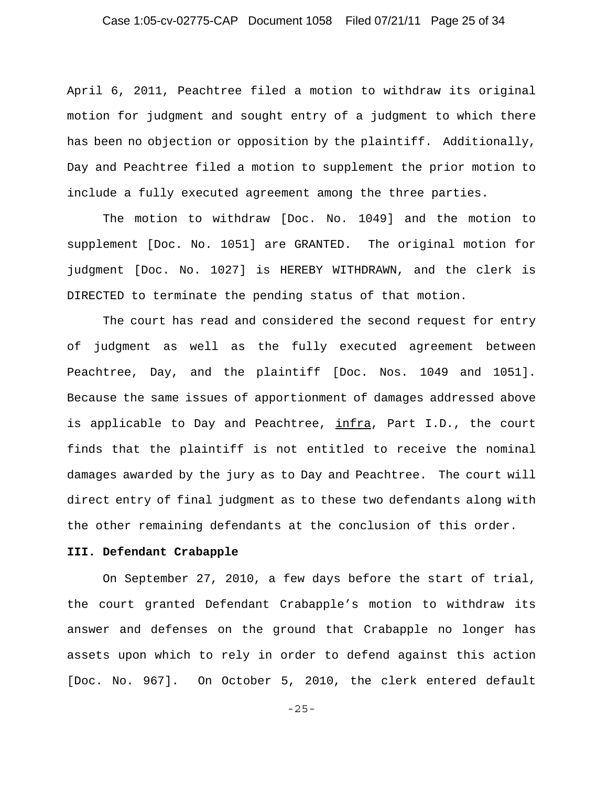April 6, 2011, Peachtree filed a motion to withdraw its original motion for judgment and sought entry of a judgment to which there has been no objection or opposition by the plaintiff. Additionally, Day and Peachtree filed a motion to supplement the prior motion to include a fully executed agreement among the three parties.

The motion to withdraw [Doc. No. 1049] and the motion to supplement [Doc. No. 1051] are GRANTED. The original motion for judgment [Doc. No. 1027] is HEREBY WITHDRAWN, and the clerk is DIRECTED to terminate the pending status of that motion.

The court has read and considered the second request for entry of judgment as well as the fully executed agreement between Peachtree, Day, and the plaintiff [Doc. Nos. 1049 and 1051]. Because the same issues of apportionment of damages addressed above is applicable to Day and Peachtree, infra, Part I.D., the court finds that the plaintiff is not entitled to receive the nominal damages awarded by the jury as to Day and Peachtree. The court will direct entry of final judgment as to these two defendants along with the other remaining defendants at the conclusion of this order.

### **III. Defendant Crabapple**

On September 27, 2010, a few days before the start of trial, the court granted Defendant Crabapple's motion to withdraw its answer and defenses on the ground that Crabapple no longer has assets upon which to rely in order to defend against this action [Doc. No. 967]. On October 5, 2010, the clerk entered default

-25-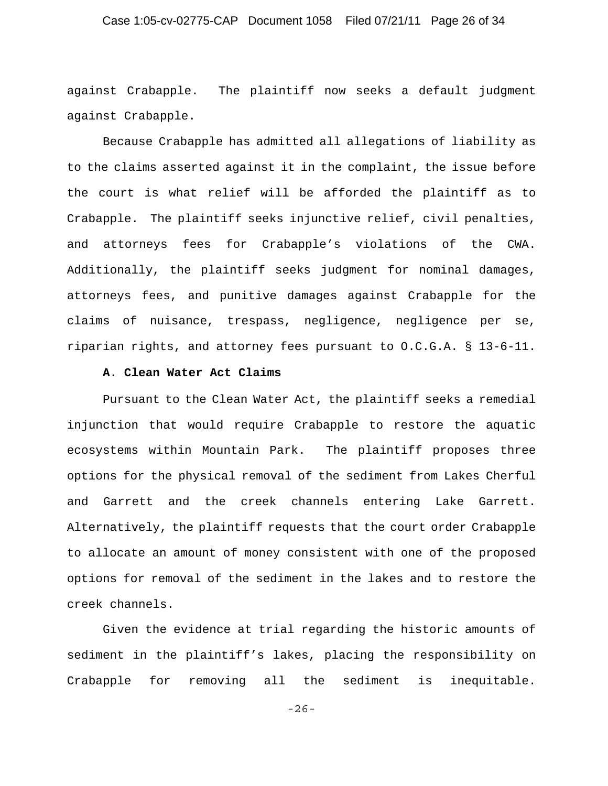## Case 1:05-cv-02775-CAP Document 1058 Filed 07/21/11 Page 26 of 34

against Crabapple. The plaintiff now seeks a default judgment against Crabapple.

Because Crabapple has admitted all allegations of liability as to the claims asserted against it in the complaint, the issue before the court is what relief will be afforded the plaintiff as to Crabapple. The plaintiff seeks injunctive relief, civil penalties, and attorneys fees for Crabapple's violations of the CWA. Additionally, the plaintiff seeks judgment for nominal damages, attorneys fees, and punitive damages against Crabapple for the claims of nuisance, trespass, negligence, negligence per se, riparian rights, and attorney fees pursuant to O.C.G.A. § 13-6-11.

### **A. Clean Water Act Claims**

Pursuant to the Clean Water Act, the plaintiff seeks a remedial injunction that would require Crabapple to restore the aquatic ecosystems within Mountain Park. The plaintiff proposes three options for the physical removal of the sediment from Lakes Cherful and Garrett and the creek channels entering Lake Garrett. Alternatively, the plaintiff requests that the court order Crabapple to allocate an amount of money consistent with one of the proposed options for removal of the sediment in the lakes and to restore the creek channels.

Given the evidence at trial regarding the historic amounts of sediment in the plaintiff's lakes, placing the responsibility on Crabapple for removing all the sediment is inequitable.

-26-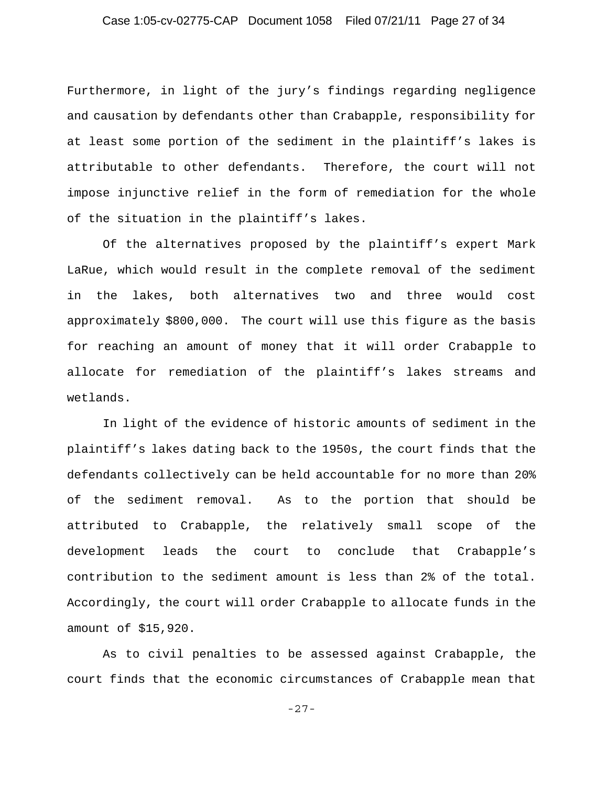## Case 1:05-cv-02775-CAP Document 1058 Filed 07/21/11 Page 27 of 34

Furthermore, in light of the jury's findings regarding negligence and causation by defendants other than Crabapple, responsibility for at least some portion of the sediment in the plaintiff's lakes is attributable to other defendants. Therefore, the court will not impose injunctive relief in the form of remediation for the whole of the situation in the plaintiff's lakes.

Of the alternatives proposed by the plaintiff's expert Mark LaRue, which would result in the complete removal of the sediment in the lakes, both alternatives two and three would cost approximately \$800,000. The court will use this figure as the basis for reaching an amount of money that it will order Crabapple to allocate for remediation of the plaintiff's lakes streams and wetlands.

In light of the evidence of historic amounts of sediment in the plaintiff's lakes dating back to the 1950s, the court finds that the defendants collectively can be held accountable for no more than 20% of the sediment removal. As to the portion that should be attributed to Crabapple, the relatively small scope of the development leads the court to conclude that Crabapple's contribution to the sediment amount is less than 2% of the total. Accordingly, the court will order Crabapple to allocate funds in the amount of \$15,920.

As to civil penalties to be assessed against Crabapple, the court finds that the economic circumstances of Crabapple mean that

-27-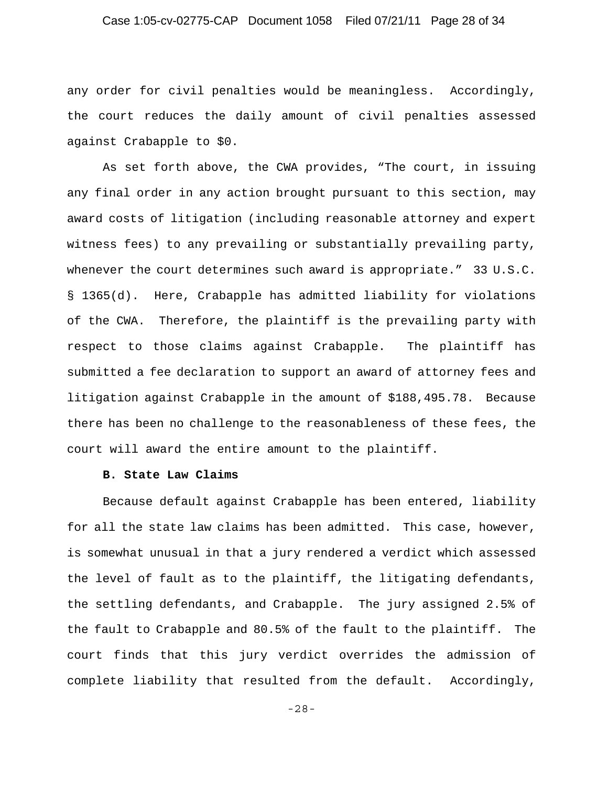## Case 1:05-cv-02775-CAP Document 1058 Filed 07/21/11 Page 28 of 34

any order for civil penalties would be meaningless. Accordingly, the court reduces the daily amount of civil penalties assessed against Crabapple to \$0.

As set forth above, the CWA provides, "The court, in issuing any final order in any action brought pursuant to this section, may award costs of litigation (including reasonable attorney and expert witness fees) to any prevailing or substantially prevailing party, whenever the court determines such award is appropriate." 33 U.S.C. § 1365(d). Here, Crabapple has admitted liability for violations of the CWA. Therefore, the plaintiff is the prevailing party with respect to those claims against Crabapple. The plaintiff has submitted a fee declaration to support an award of attorney fees and litigation against Crabapple in the amount of \$188,495.78. Because there has been no challenge to the reasonableness of these fees, the court will award the entire amount to the plaintiff.

### **B. State Law Claims**

Because default against Crabapple has been entered, liability for all the state law claims has been admitted. This case, however, is somewhat unusual in that a jury rendered a verdict which assessed the level of fault as to the plaintiff, the litigating defendants, the settling defendants, and Crabapple. The jury assigned 2.5% of the fault to Crabapple and 80.5% of the fault to the plaintiff. The court finds that this jury verdict overrides the admission of complete liability that resulted from the default. Accordingly,

-28-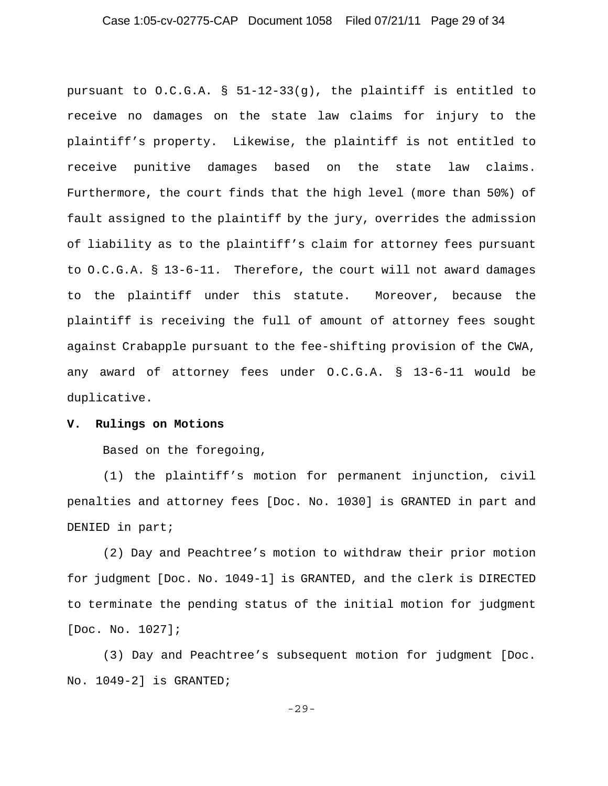## Case 1:05-cv-02775-CAP Document 1058 Filed 07/21/11 Page 29 of 34

pursuant to O.C.G.A. § 51-12-33(g), the plaintiff is entitled to receive no damages on the state law claims for injury to the plaintiff's property. Likewise, the plaintiff is not entitled to receive punitive damages based on the state law claims. Furthermore, the court finds that the high level (more than 50%) of fault assigned to the plaintiff by the jury, overrides the admission of liability as to the plaintiff's claim for attorney fees pursuant to O.C.G.A. § 13-6-11. Therefore, the court will not award damages to the plaintiff under this statute. Moreover, because the plaintiff is receiving the full of amount of attorney fees sought against Crabapple pursuant to the fee-shifting provision of the CWA, any award of attorney fees under O.C.G.A. § 13-6-11 would be duplicative.

#### **V. Rulings on Motions**

Based on the foregoing,

(1) the plaintiff's motion for permanent injunction, civil penalties and attorney fees [Doc. No. 1030] is GRANTED in part and DENIED in part;

(2) Day and Peachtree's motion to withdraw their prior motion for judgment [Doc. No. 1049-1] is GRANTED, and the clerk is DIRECTED to terminate the pending status of the initial motion for judgment [Doc. No. 1027];

(3) Day and Peachtree's subsequent motion for judgment [Doc. No. 1049-2] is GRANTED;

-29-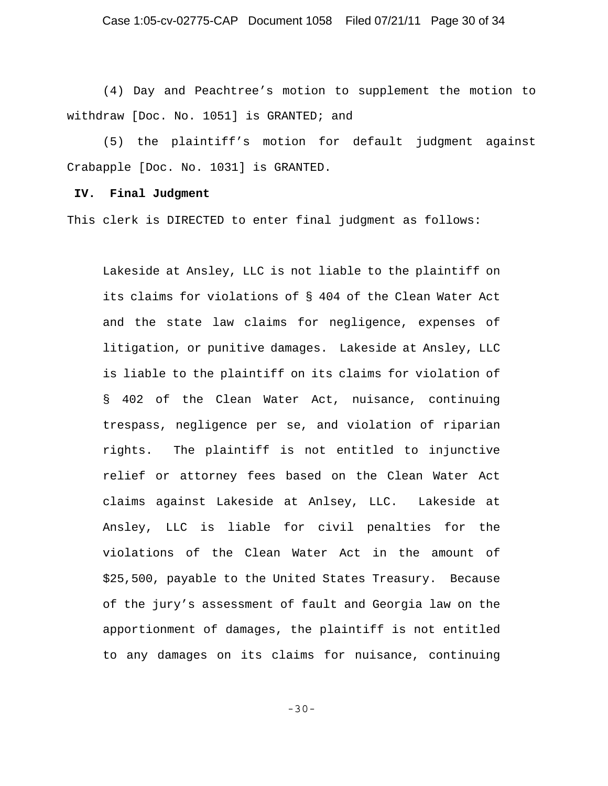(4) Day and Peachtree's motion to supplement the motion to withdraw [Doc. No. 1051] is GRANTED; and

(5) the plaintiff's motion for default judgment against Crabapple [Doc. No. 1031] is GRANTED.

#### **IV. Final Judgment**

This clerk is DIRECTED to enter final judgment as follows:

Lakeside at Ansley, LLC is not liable to the plaintiff on its claims for violations of § 404 of the Clean Water Act and the state law claims for negligence, expenses of litigation, or punitive damages. Lakeside at Ansley, LLC is liable to the plaintiff on its claims for violation of § 402 of the Clean Water Act, nuisance, continuing trespass, negligence per se, and violation of riparian rights. The plaintiff is not entitled to injunctive relief or attorney fees based on the Clean Water Act claims against Lakeside at Anlsey, LLC. Lakeside at Ansley, LLC is liable for civil penalties for the violations of the Clean Water Act in the amount of \$25,500, payable to the United States Treasury. Because of the jury's assessment of fault and Georgia law on the apportionment of damages, the plaintiff is not entitled to any damages on its claims for nuisance, continuing

-30-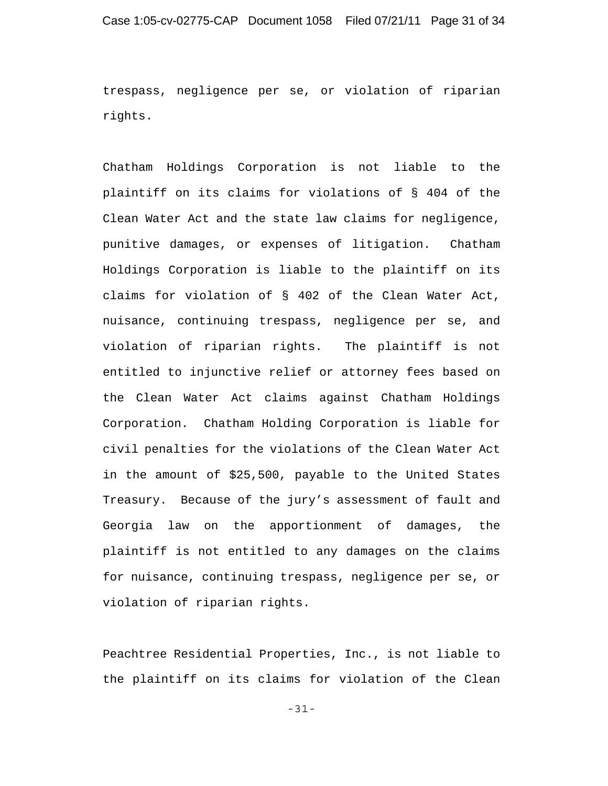trespass, negligence per se, or violation of riparian rights.

Chatham Holdings Corporation is not liable to the plaintiff on its claims for violations of § 404 of the Clean Water Act and the state law claims for negligence, punitive damages, or expenses of litigation. Chatham Holdings Corporation is liable to the plaintiff on its claims for violation of § 402 of the Clean Water Act, nuisance, continuing trespass, negligence per se, and violation of riparian rights. The plaintiff is not entitled to injunctive relief or attorney fees based on the Clean Water Act claims against Chatham Holdings Corporation. Chatham Holding Corporation is liable for civil penalties for the violations of the Clean Water Act in the amount of \$25,500, payable to the United States Treasury. Because of the jury's assessment of fault and Georgia law on the apportionment of damages, the plaintiff is not entitled to any damages on the claims for nuisance, continuing trespass, negligence per se, or violation of riparian rights.

Peachtree Residential Properties, Inc., is not liable to the plaintiff on its claims for violation of the Clean

-31-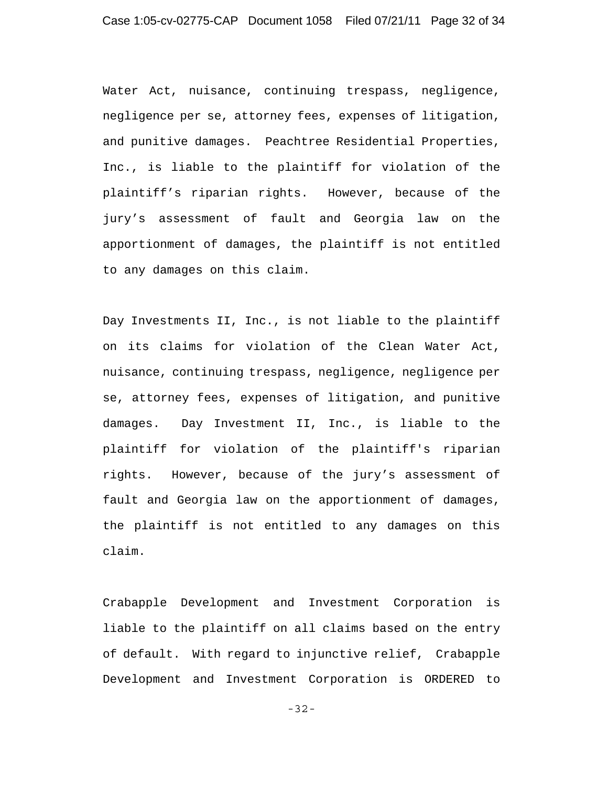Water Act, nuisance, continuing trespass, negligence, negligence per se, attorney fees, expenses of litigation, and punitive damages. Peachtree Residential Properties, Inc., is liable to the plaintiff for violation of the plaintiff's riparian rights. However, because of the jury's assessment of fault and Georgia law on the apportionment of damages, the plaintiff is not entitled to any damages on this claim.

Day Investments II, Inc., is not liable to the plaintiff on its claims for violation of the Clean Water Act, nuisance, continuing trespass, negligence, negligence per se, attorney fees, expenses of litigation, and punitive damages. Day Investment II, Inc., is liable to the plaintiff for violation of the plaintiff's riparian rights. However, because of the jury's assessment of fault and Georgia law on the apportionment of damages, the plaintiff is not entitled to any damages on this claim.

Crabapple Development and Investment Corporation is liable to the plaintiff on all claims based on the entry of default. With regard to injunctive relief, Crabapple Development and Investment Corporation is ORDERED to

-32-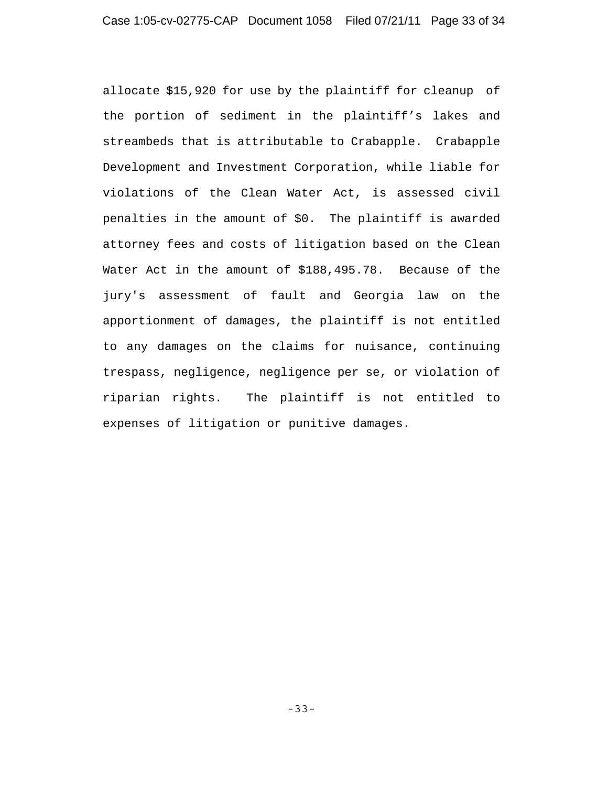allocate \$15,920 for use by the plaintiff for cleanup of the portion of sediment in the plaintiff's lakes and streambeds that is attributable to Crabapple. Crabapple Development and Investment Corporation, while liable for violations of the Clean Water Act, is assessed civil penalties in the amount of \$0. The plaintiff is awarded attorney fees and costs of litigation based on the Clean Water Act in the amount of \$188,495.78. Because of the jury's assessment of fault and Georgia law on the apportionment of damages, the plaintiff is not entitled to any damages on the claims for nuisance, continuing trespass, negligence, negligence per se, or violation of riparian rights. The plaintiff is not entitled to expenses of litigation or punitive damages.